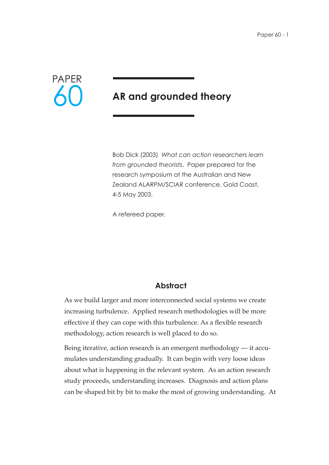

# **AR and grounded theory**

Bob Dick (2003) *What can action researchers learn from grounded theorists*. Paper prepared for the research symposium at the Australian and New Zealand ALARPM/SCIAR conference, Gold Coast, 4-5 May 2003.

A refereed paper.

### **Abstract**

As we build larger and more interconnected social systems we create increasing turbulence. Applied research methodologies will be more effective if they can cope with this turbulence. As a flexible research methodology, action research is well placed to do so.

Being iterative, action research is an emergent methodology — it accumulates understanding gradually. It can begin with very loose ideas about what is happening in the relevant system. As an action research study proceeds, understanding increases. Diagnosis and action plans can be shaped bit by bit to make the most of growing understanding. At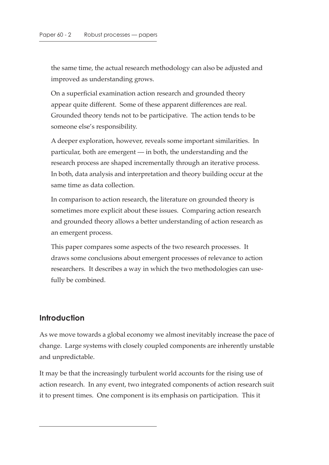the same time, the actual research methodology can also be adjusted and improved as understanding grows.

On a superficial examination action research and grounded theory appear quite different. Some of these apparent differences are real. Grounded theory tends not to be participative. The action tends to be someone else's responsibility.

A deeper exploration, however, reveals some important similarities. In particular, both are emergent — in both, the understanding and the research process are shaped incrementally through an iterative process. In both, data analysis and interpretation and theory building occur at the same time as data collection.

In comparison to action research, the literature on grounded theory is sometimes more explicit about these issues. Comparing action research and grounded theory allows a better understanding of action research as an emergent process.

This paper compares some aspects of the two research processes. It draws some conclusions about emergent processes of relevance to action researchers. It describes a way in which the two methodologies can usefully be combined.

#### **Introduction**

As we move towards a global economy we almost inevitably increase the pace of change. Large systems with closely coupled components are inherently unstable and unpredictable.

It may be that the increasingly turbulent world accounts for the rising use of action research. In any event, two integrated components of action research suit it to present times. One component is its emphasis on participation. This it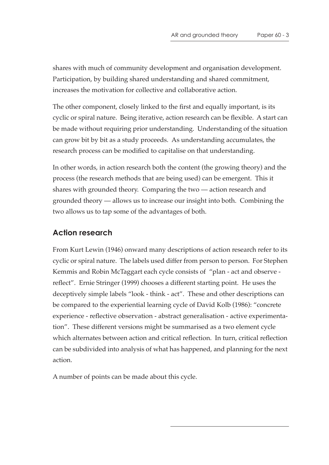shares with much of community development and organisation development. Participation, by building shared understanding and shared commitment, increases the motivation for collective and collaborative action.

The other component, closely linked to the first and equally important, is its cyclic or spiral nature. Being iterative, action research can be flexible. A start can be made without requiring prior understanding. Understanding of the situation can grow bit by bit as a study proceeds. As understanding accumulates, the research process can be modified to capitalise on that understanding.

In other words, in action research both the content (the growing theory) and the process (the research methods that are being used) can be emergent. This it shares with grounded theory. Comparing the two — action research and grounded theory — allows us to increase our insight into both. Combining the two allows us to tap some of the advantages of both.

### **Action research**

From Kurt Lewin (1946) onward many descriptions of action research refer to its cyclic or spiral nature. The labels used differ from person to person. For Stephen Kemmis and Robin McTaggart each cycle consists of "plan - act and observe reflect". Ernie Stringer (1999) chooses a different starting point. He uses the deceptively simple labels "look - think - act". These and other descriptions can be compared to the experiential learning cycle of David Kolb (1986): "concrete experience - reflective observation - abstract generalisation - active experimentation". These different versions might be summarised as a two element cycle which alternates between action and critical reflection. In turn, critical reflection can be subdivided into analysis of what has happened, and planning for the next action.

A number of points can be made about this cycle.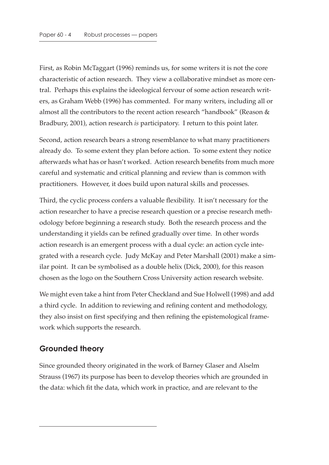First, as Robin McTaggart (1996) reminds us, for some writers it is not the core characteristic of action research. They view a collaborative mindset as more central. Perhaps this explains the ideological fervour of some action research writers, as Graham Webb (1996) has commented. For many writers, including all or almost all the contributors to the recent action research "handbook" (Reason & Bradbury, 2001), action research *is* participatory. I return to this point later.

Second, action research bears a strong resemblance to what many practitioners already do. To some extent they plan before action. To some extent they notice afterwards what has or hasn't worked. Action research benefits from much more careful and systematic and critical planning and review than is common with practitioners. However, it does build upon natural skills and processes.

Third, the cyclic process confers a valuable flexibility. It isn't necessary for the action researcher to have a precise research question or a precise research methodology before beginning a research study. Both the research process and the understanding it yields can be refined gradually over time. In other words action research is an emergent process with a dual cycle: an action cycle integrated with a research cycle. Judy McKay and Peter Marshall (2001) make a similar point. It can be symbolised as a double helix (Dick, 2000), for this reason chosen as the logo on the Southern Cross University action research website.

We might even take a hint from Peter Checkland and Sue Holwell (1998) and add a third cycle. In addition to reviewing and refining content and methodology, they also insist on first specifying and then refining the epistemological framework which supports the research.

## **Grounded theory**

Since grounded theory originated in the work of Barney Glaser and Alselm Strauss (1967) its purpose has been to develop theories which are grounded in the data: which fit the data, which work in practice, and are relevant to the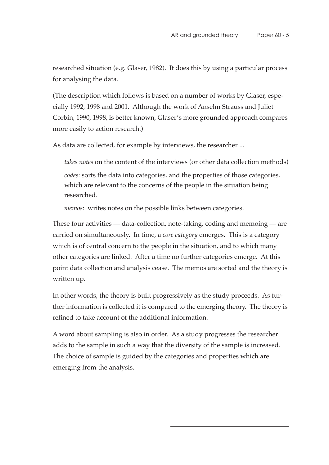researched situation (e.g. Glaser, 1982). It does this by using a particular process for analysing the data.

(The description which follows is based on a number of works by Glaser, especially 1992, 1998 and 2001. Although the work of Anselm Strauss and Juliet Corbin, 1990, 1998, is better known, Glaser's more grounded approach compares more easily to action research.)

As data are collected, for example by interviews, the researcher ...

*takes notes* on the content of the interviews (or other data collection methods) *codes*: sorts the data into categories, and the properties of those categories, which are relevant to the concerns of the people in the situation being researched.

*memos*: writes notes on the possible links between categories.

These four activities — data-collection, note-taking, coding and memoing — are carried on simultaneously. In time, a *core category* emerges. This is a category which is of central concern to the people in the situation, and to which many other categories are linked. After a time no further categories emerge. At this point data collection and analysis cease. The memos are sorted and the theory is written up.

In other words, the theory is built progressively as the study proceeds. As further information is collected it is compared to the emerging theory. The theory is refined to take account of the additional information.

A word about sampling is also in order. As a study progresses the researcher adds to the sample in such a way that the diversity of the sample is increased. The choice of sample is guided by the categories and properties which are emerging from the analysis.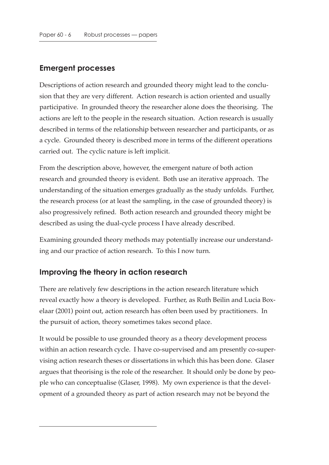### **Emergent processes**

Descriptions of action research and grounded theory might lead to the conclusion that they are very different. Action research is action oriented and usually participative. In grounded theory the researcher alone does the theorising. The actions are left to the people in the research situation. Action research is usually described in terms of the relationship between researcher and participants, or as a cycle. Grounded theory is described more in terms of the different operations carried out. The cyclic nature is left implicit.

From the description above, however, the emergent nature of both action research and grounded theory is evident. Both use an iterative approach. The understanding of the situation emerges gradually as the study unfolds. Further, the research process (or at least the sampling, in the case of grounded theory) is also progressively refined. Both action research and grounded theory might be described as using the dual-cycle process I have already described.

Examining grounded theory methods may potentially increase our understanding and our practice of action research. To this I now turn.

### **Improving the theory in action research**

There are relatively few descriptions in the action research literature which reveal exactly how a theory is developed. Further, as Ruth Beilin and Lucia Boxelaar (2001) point out, action research has often been used by practitioners. In the pursuit of action, theory sometimes takes second place.

It would be possible to use grounded theory as a theory development process within an action research cycle. I have co-supervised and am presently co-supervising action research theses or dissertations in which this has been done. Glaser argues that theorising is the role of the researcher. It should only be done by people who can conceptualise (Glaser, 1998). My own experience is that the development of a grounded theory as part of action research may not be beyond the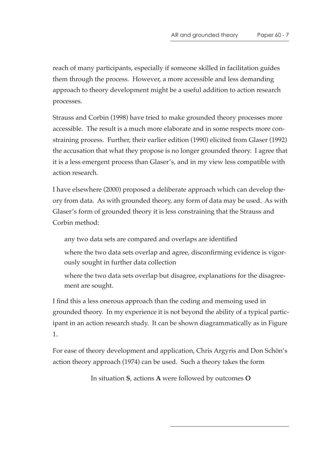reach of many participants, especially if someone skilled in facilitation guides them through the process. However, a more accessible and less demanding approach to theory development might be a useful addition to action research processes.

Strauss and Corbin (1998) have tried to make grounded theory processes more accessible. The result is a much more elaborate and in some respects more constraining process. Further, their earlier edition (1990) elicited from Glaser (1992) the accusation that what they propose is no longer grounded theory. I agree that it is a less emergent process than Glaser's, and in my view less compatible with action research.

I have elsewhere (2000) proposed a deliberate approach which can develop theory from data. As with grounded theory, any form of data may be used. As with Glaser's form of grounded theory it is less constraining that the Strauss and Corbin method:

any two data sets are compared and overlaps are identified

where the two data sets overlap and agree, disconfirming evidence is vigorously sought in further data collection

where the two data sets overlap but disagree, explanations for the disagreement are sought.

I find this a less onerous approach than the coding and memoing used in grounded theory. In my experience it is not beyond the ability of a typical participant in an action research study. It can be shown diagrammatically as in Figure 1.

For ease of theory development and application, Chris Argyris and Don Schön's action theory approach (1974) can be used. Such a theory takes the form

In situation **S**, actions **A** were followed by outcomes **O**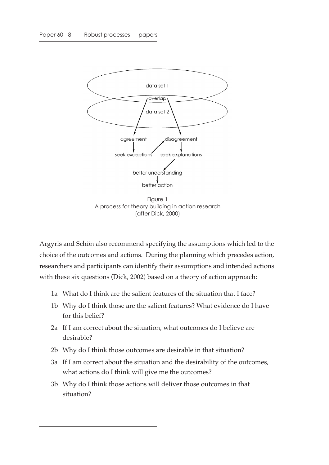

Figure 1 A process for theory building in action research (after Dick, 2000)

Argyris and Schön also recommend specifying the assumptions which led to the choice of the outcomes and actions. During the planning which precedes action, researchers and participants can identify their assumptions and intended actions with these six questions (Dick, 2002) based on a theory of action approach:

- 1a What do I think are the salient features of the situation that I face?
- 1b Why do I think those are the salient features? What evidence do I have for this belief?
- 2a If I am correct about the situation, what outcomes do I believe are desirable?
- 2b Why do I think those outcomes are desirable in that situation?
- 3a If I am correct about the situation and the desirability of the outcomes, what actions do I think will give me the outcomes?
- 3b Why do I think those actions will deliver those outcomes in that situation?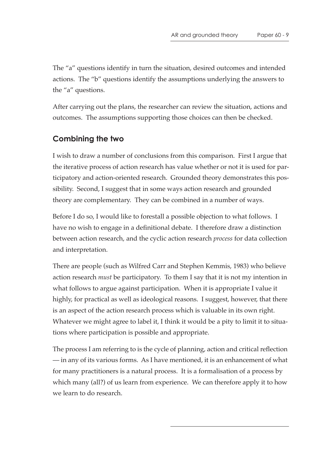The "a" questions identify in turn the situation, desired outcomes and intended actions. The "b" questions identify the assumptions underlying the answers to the "a" questions.

After carrying out the plans, the researcher can review the situation, actions and outcomes. The assumptions supporting those choices can then be checked.

## **Combining the two**

I wish to draw a number of conclusions from this comparison. First I argue that the iterative process of action research has value whether or not it is used for participatory and action-oriented research. Grounded theory demonstrates this possibility. Second, I suggest that in some ways action research and grounded theory are complementary. They can be combined in a number of ways.

Before I do so, I would like to forestall a possible objection to what follows. I have no wish to engage in a definitional debate. I therefore draw a distinction between action research, and the cyclic action research *process* for data collection and interpretation.

There are people (such as Wilfred Carr and Stephen Kemmis, 1983) who believe action research *must* be participatory. To them I say that it is not my intention in what follows to argue against participation. When it is appropriate I value it highly, for practical as well as ideological reasons. I suggest, however, that there is an aspect of the action research process which is valuable in its own right. Whatever we might agree to label it, I think it would be a pity to limit it to situations where participation is possible and appropriate.

The process I am referring to is the cycle of planning, action and critical reflection — in any of its various forms. As I have mentioned, it is an enhancement of what for many practitioners is a natural process. It is a formalisation of a process by which many (all?) of us learn from experience. We can therefore apply it to how we learn to do research.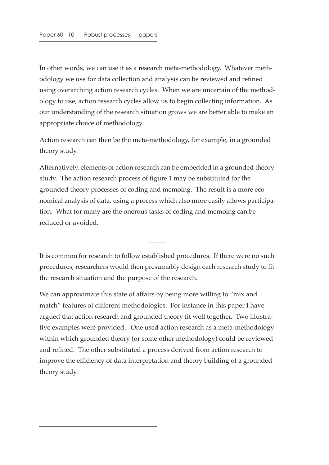In other words, we can use it as a research meta-methodology. Whatever methodology we use for data collection and analysis can be reviewed and refined using overarching action research cycles. When we are uncertain of the methodology to use, action research cycles allow us to begin collecting information. As our understanding of the research situation grows we are better able to make an appropriate choice of methodology.

Action research can then be the meta-methodology, for example, in a grounded theory study.

Alternatively, elements of action research can be embedded in a grounded theory study. The action research process of figure 1 may be substituted for the grounded theory processes of coding and memoing. The result is a more economical analysis of data, using a process which also more easily allows participation. What for many are the onerous tasks of coding and memoing can be reduced or avoided.

It is common for research to follow established procedures. If there were no such procedures, researchers would then presumably design each research study to fit the research situation and the purpose of the research.

 $\overline{\phantom{a}}$ 

We can approximate this state of affairs by being more willing to "mix and match" features of different methodologies. For instance in this paper I have argued that action research and grounded theory fit well together. Two illustrative examples were provided. One used action research as a meta-methodology within which grounded theory (or some other methodology) could be reviewed and refined. The other substituted a process derived from action research to improve the efficiency of data interpretation and theory building of a grounded theory study.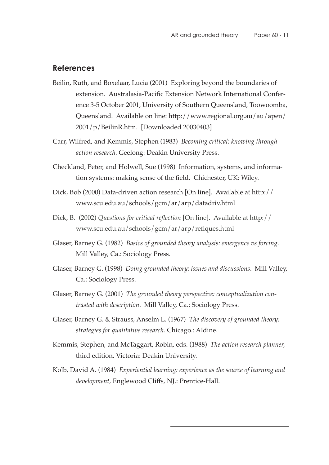#### **References**

- Beilin, Ruth, and Boxelaar, Lucia (2001) Exploring beyond the boundaries of extension. Australasia-Pacific Extension Network International Conference 3-5 October 2001, University of Southern Queensland, Toowoomba, Queensland. Available on line: http://www.regional.org.au/au/apen/ 2001/p/BeilinR.htm. [Downloaded 20030403]
- Carr, Wilfred, and Kemmis, Stephen (1983) *Becoming critical: knowing through action research*. Geelong: Deakin University Press.
- Checkland, Peter, and Holwell, Sue (1998) Information, systems, and information systems: making sense of the field. Chichester, UK: Wiley.
- Dick, Bob (2000) Data-driven action research [On line]. Available at http:// www.scu.edu.au/schools/gcm/ar/arp/datadriv.html
- Dick, B. (2002) *Questions for critical reflection* [On line]. Available at http:// www.scu.edu.au/schools/gcm/ar/arp/reflques.html
- Glaser, Barney G. (1982) *Basics of grounded theory analysis: emergence vs forcing*. Mill Valley, Ca.: Sociology Press.
- Glaser, Barney G. (1998) *Doing grounded theory: issues and discussions*. Mill Valley, Ca.: Sociology Press.
- Glaser, Barney G. (2001) *The grounded theory perspective: conceptualization contrasted with description*. Mill Valley, Ca.: Sociology Press.
- Glaser, Barney G. & Strauss, Anselm L. (1967) *The discovery of grounded theory: strategies for qualitative research*. Chicago.: Aldine.
- Kemmis, Stephen, and McTaggart, Robin, eds. (1988) *The action research planner*, third edition. Victoria: Deakin University.
- Kolb, David A. (1984) *Experiential learning: experience as the source of learning and development*, Englewood Cliffs, NJ.: Prentice-Hall.